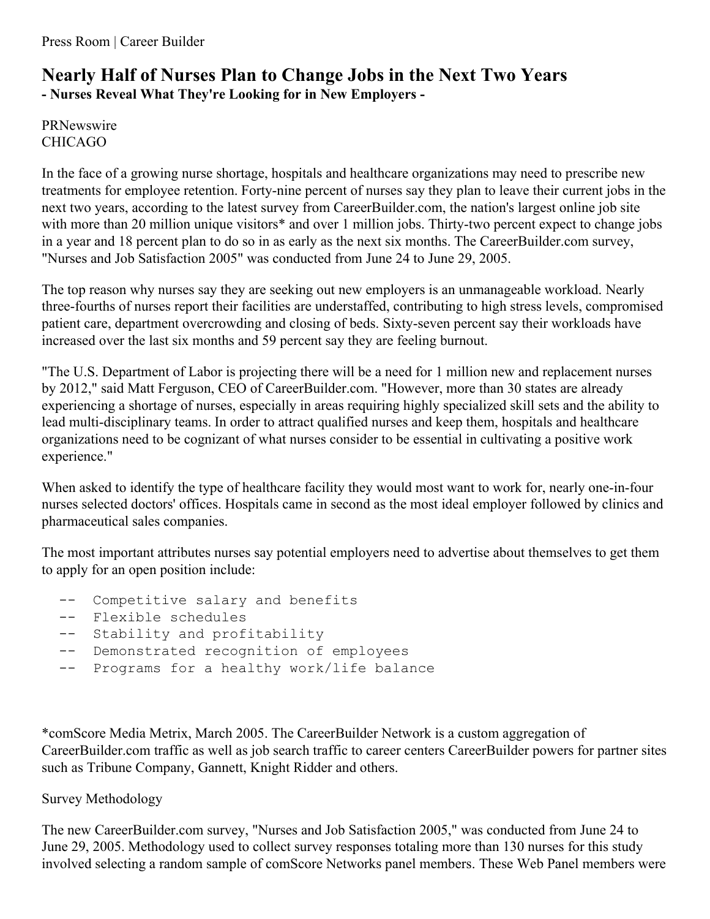## **Nearly Half of Nurses Plan to Change Jobs in the Next Two Years - Nurses Reveal What They're Looking for in New Employers -**

PRNewswire CHICAGO

In the face of a growing nurse shortage, hospitals and healthcare organizations may need to prescribe new treatments for employee retention. Forty-nine percent of nurses say they plan to leave their current jobs in the next two years, according to the latest survey from CareerBuilder.com, the nation's largest online job site with more than 20 million unique visitors<sup>\*</sup> and over 1 million jobs. Thirty-two percent expect to change jobs in a year and 18 percent plan to do so in as early as the next six months. The CareerBuilder.com survey, "Nurses and Job Satisfaction 2005" was conducted from June 24 to June 29, 2005.

The top reason why nurses say they are seeking out new employers is an unmanageable workload. Nearly three-fourths of nurses report their facilities are understaffed, contributing to high stress levels, compromised patient care, department overcrowding and closing of beds. Sixty-seven percent say their workloads have increased over the last six months and 59 percent say they are feeling burnout.

"The U.S. Department of Labor is projecting there will be a need for 1 million new and replacement nurses by 2012," said Matt Ferguson, CEO of CareerBuilder.com. "However, more than 30 states are already experiencing a shortage of nurses, especially in areas requiring highly specialized skill sets and the ability to lead multi-disciplinary teams. In order to attract qualified nurses and keep them, hospitals and healthcare organizations need to be cognizant of what nurses consider to be essential in cultivating a positive work experience."

When asked to identify the type of healthcare facility they would most want to work for, nearly one-in-four nurses selected doctors' offices. Hospitals came in second as the most ideal employer followed by clinics and pharmaceutical sales companies.

The most important attributes nurses say potential employers need to advertise about themselves to get them to apply for an open position include:

- Competitive salary and benefits
- -- Flexible schedules
- -- Stability and profitability
- -- Demonstrated recognition of employees
- -- Programs for a healthy work/life balance

\*comScore Media Metrix, March 2005. The CareerBuilder Network is a custom aggregation of CareerBuilder.com traffic as well as job search traffic to career centers CareerBuilder powers for partner sites such as Tribune Company, Gannett, Knight Ridder and others.

## Survey Methodology

The new CareerBuilder.com survey, "Nurses and Job Satisfaction 2005," was conducted from June 24 to June 29, 2005. Methodology used to collect survey responses totaling more than 130 nurses for this study involved selecting a random sample of comScore Networks panel members. These Web Panel members were